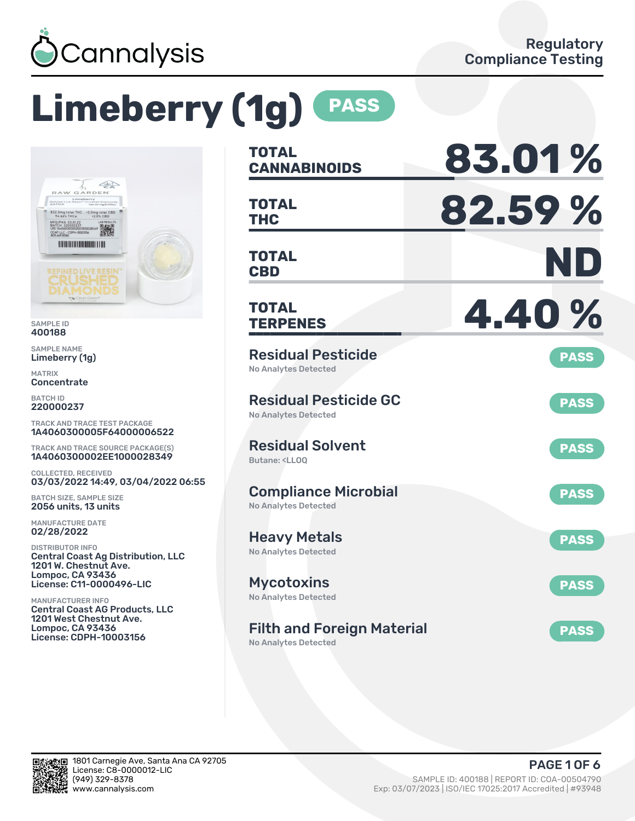

# **Limeberry (1g) PASS**



SAMPLE ID 400188

SAMPLE NAME Limeberry (1g)

MATRIX **Concentrate** 

BATCH ID 220000237

TRACK AND TRACE TEST PACKAGE 1A4060300005F64000006522

TRACK AND TRACE SOURCE PACKAGE(S) 1A4060300002EE1000028349

COLLECTED, RECEIVED 03/03/2022 14:49, 03/04/2022 06:55

BATCH SIZE, SAMPLE SIZE 2056 units, 13 units

MANUFACTURE DATE 02/28/2022

DISTRIBUTOR INFO Central Coast Ag Distribution, LLC 1201 W. Chestnut Ave. Lompoc, CA 93436 License: C11-0000496-LIC

MANUFACTURER INFO Central Coast AG Products, LLC 1201 West Chestnut Ave. Lompoc, CA 93436 License: CDPH-10003156

| TOTAL<br><b>CANNABINOIDS</b>                                                 | 83.01%      |
|------------------------------------------------------------------------------|-------------|
| <b>TOTAL</b><br><b>THC</b>                                                   | 82.59%      |
| <b>TOTAL</b><br><b>CBD</b>                                                   | ND          |
| TOTAL<br><b>TERPENES</b>                                                     | 4.40%       |
| <b>Residual Pesticide</b><br><b>No Analytes Detected</b>                     | <b>PASS</b> |
| <b>Residual Pesticide GC</b><br><b>No Analytes Detected</b>                  | <b>PASS</b> |
| <b>Residual Solvent</b><br>Butane: <ll00< td=""><td><b>PASS</b></td></ll00<> | <b>PASS</b> |
| <b>Compliance Microbial</b><br><b>No Analytes Detected</b>                   | <b>PASS</b> |
| <b>Heavy Metals</b><br><b>No Analytes Detected</b>                           | <b>PASS</b> |
| <b>Mycotoxins</b><br>No Analytes Detected                                    | <b>PASS</b> |
| <b>Filth and Foreign Material</b>                                            | <b>PASS</b> |

No Analytes Detected

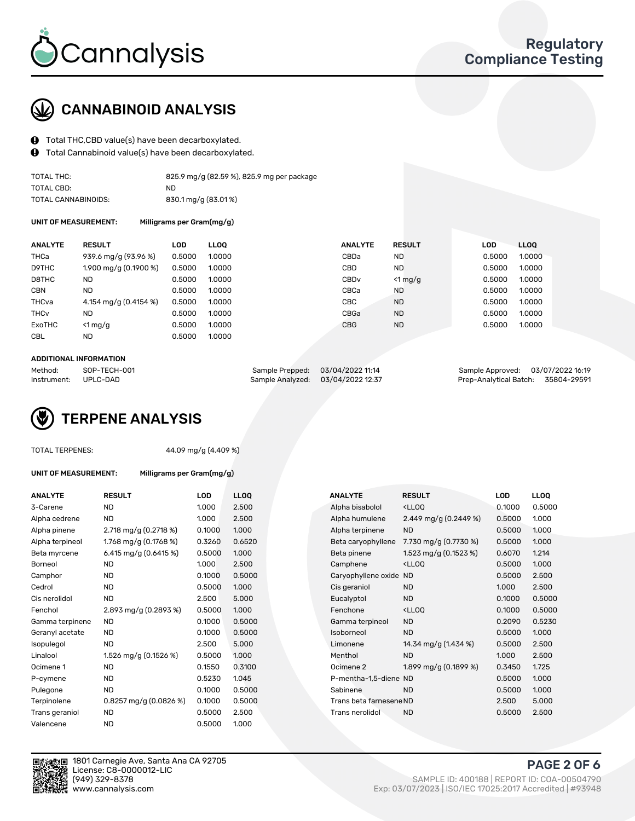

## CANNABINOID ANALYSIS

- Total THC,CBD value(s) have been decarboxylated.
- Total Cannabinoid value(s) have been decarboxylated.  $\mathbf{\Theta}$

| TOTAL THC:          | 825.9 mg/g (82.59 %), 825.9 mg per package |
|---------------------|--------------------------------------------|
| TOTAL CBD:          | ND.                                        |
| TOTAL CANNABINOIDS: | 830.1 mg/g (83.01%)                        |

UNIT OF MEASUREMENT: Milligrams per Gram(mg/g)

| <b>ANALYTE</b>         | <b>RESULT</b>         | LOD    | <b>LLOO</b> | <b>ANALYTE</b>   | <b>RESULT</b> | LOD    | LL <sub>00</sub> |
|------------------------|-----------------------|--------|-------------|------------------|---------------|--------|------------------|
| <b>THCa</b>            | 939.6 mg/g (93.96 %)  | 0.5000 | 1.0000      | CBDa             | ND            | 0.5000 | 1.0000           |
| D9THC                  | 1.900 mg/g (0.1900 %) | 0.5000 | 1.0000      | CBD              | <b>ND</b>     | 0.5000 | 1.0000           |
| D8THC                  | ND                    | 0.5000 | 1.0000      | CBD <sub>v</sub> | $<$ 1 mg/g    | 0.5000 | 1.0000           |
| <b>CBN</b>             | <b>ND</b>             | 0.5000 | 1.0000      | CBCa             | ND            | 0.5000 | 1.0000           |
| THCva                  | 4.154 mg/g (0.4154 %) | 0.5000 | 1.0000      | CBC              | <b>ND</b>     | 0.5000 | 1.0000           |
| <b>THC<sub>v</sub></b> | <b>ND</b>             | 0.5000 | 1.0000      | CBGa             | <b>ND</b>     | 0.5000 | 1.0000           |
| ExoTHC                 | $<$ 1 mg/g            | 0.5000 | 1.0000      | <b>CBG</b>       | <b>ND</b>     | 0.5000 | 1.0000           |
| <b>CBL</b>             | <b>ND</b>             | 0.5000 | 1.0000      |                  |               |        |                  |
|                        |                       |        |             |                  |               |        |                  |

#### ADDITIONAL INFORMATION

| Method:              | SOP-TECH-001 | Sample Prepped: 03/04/2022 11:14  | Sample Approved: 03/07/2022 16:19  |  |
|----------------------|--------------|-----------------------------------|------------------------------------|--|
| Instrument: UPLC-DAD |              | Sample Analyzed: 03/04/2022 12:37 | Prep-Analytical Batch: 35804-29591 |  |

# TERPENE ANALYSIS

|  | TOTAL TERPENES: |
|--|-----------------|
|--|-----------------|

44.09 mg/g (4.409 %)

Milligrams per Gram(mg/g)

| <b>ANALYTE</b>  | <b>RESULT</b>            | LOD    | <b>LLOQ</b> |  | <b>ANALYTE</b>          | <b>RESULT</b>                                      | LOD    | <b>LLOQ</b> |
|-----------------|--------------------------|--------|-------------|--|-------------------------|----------------------------------------------------|--------|-------------|
| 3-Carene        | <b>ND</b>                | 1.000  | 2.500       |  | Alpha bisabolol         | <ll0q< td=""><td>0.1000</td><td>0.500</td></ll0q<> | 0.1000 | 0.500       |
| Alpha cedrene   | <b>ND</b>                | 1.000  | 2.500       |  | Alpha humulene          | 2.449 mg/g (0.2449 %)                              | 0.5000 | 1.000       |
| Alpha pinene    | 2.718 mg/g (0.2718 %)    | 0.1000 | 1.000       |  | Alpha terpinene         | <b>ND</b>                                          | 0.5000 | 1.000       |
| Alpha terpineol | 1.768 mg/g (0.1768 %)    | 0.3260 | 0.6520      |  | Beta caryophyllene      | 7.730 mg/g (0.7730 %)                              | 0.5000 | 1.000       |
| Beta myrcene    | 6.415 mg/g $(0.6415\%)$  | 0.5000 | 1.000       |  | Beta pinene             | 1.523 mg/g $(0.1523\%)$                            | 0.6070 | 1.214       |
| Borneol         | <b>ND</b>                | 1.000  | 2.500       |  | Camphene                | <ll0q< td=""><td>0.5000</td><td>1.000</td></ll0q<> | 0.5000 | 1.000       |
| Camphor         | <b>ND</b>                | 0.1000 | 0.5000      |  | Caryophyllene oxide ND  |                                                    | 0.5000 | 2.500       |
| Cedrol          | <b>ND</b>                | 0.5000 | 1.000       |  | Cis geraniol            | <b>ND</b>                                          | 1.000  | 2.500       |
| Cis nerolidol   | <b>ND</b>                | 2.500  | 5.000       |  | Eucalyptol              | <b>ND</b>                                          | 0.1000 | 0.500       |
| Fenchol         | 2.893 mg/g $(0.2893\%)$  | 0.5000 | 1.000       |  | Fenchone                | <ll0q< td=""><td>0.1000</td><td>0.500</td></ll0q<> | 0.1000 | 0.500       |
| Gamma terpinene | ND                       | 0.1000 | 0.5000      |  | Gamma terpineol         | <b>ND</b>                                          | 0.2090 | 0.523       |
| Geranyl acetate | ND.                      | 0.1000 | 0.5000      |  | Isoborneol              | <b>ND</b>                                          | 0.5000 | 1.000       |
| Isopulegol      | <b>ND</b>                | 2.500  | 5.000       |  | Limonene                | 14.34 mg/g (1.434 %)                               | 0.5000 | 2.500       |
| Linalool        | 1.526 mg/g (0.1526 %)    | 0.5000 | 1.000       |  | Menthol                 | <b>ND</b>                                          | 1.000  | 2.500       |
| Ocimene 1       | <b>ND</b>                | 0.1550 | 0.3100      |  | Ocimene 2               | 1.899 mg/g (0.1899 %)                              | 0.3450 | 1.725       |
| P-cymene        | ND                       | 0.5230 | 1.045       |  | P-mentha-1,5-diene ND   |                                                    | 0.5000 | 1.000       |
| Pulegone        | <b>ND</b>                | 0.1000 | 0.5000      |  | Sabinene                | <b>ND</b>                                          | 0.5000 | 1.000       |
| Terpinolene     | 0.8257 mg/g $(0.0826\%)$ | 0.1000 | 0.5000      |  | Trans beta farnesene ND |                                                    | 2.500  | 5.000       |
| Trans geraniol  | <b>ND</b>                | 0.5000 | 2.500       |  | Trans nerolidol         | <b>ND</b>                                          | 0.5000 | 2.500       |
| Valencene       | <b>ND</b>                | 0.5000 | 1.000       |  |                         |                                                    |        |             |

| ANALYTE         | <b>RESULT</b>            | LOD    | <b>LLOQ</b> | <b>ANALYTE</b>          | <b>RESULT</b>                                       | <b>LOD</b> | <b>LLOQ</b> |
|-----------------|--------------------------|--------|-------------|-------------------------|-----------------------------------------------------|------------|-------------|
| 3-Carene        | <b>ND</b>                | 1.000  | 2.500       | Alpha bisabolol         | <lloq< td=""><td>0.1000</td><td>0.5000</td></lloq<> | 0.1000     | 0.5000      |
| Alpha cedrene   | ND.                      | 1.000  | 2.500       | Alpha humulene          | 2.449 mg/g $(0.2449\%)$                             | 0.5000     | 1.000       |
| Alpha pinene    | 2.718 mg/g (0.2718 %)    | 0.1000 | 1.000       | Alpha terpinene         | <b>ND</b>                                           | 0.5000     | 1.000       |
| Alpha terpineol | 1.768 mg/g $(0.1768\%)$  | 0.3260 | 0.6520      | Beta caryophyllene      | 7.730 mg/g (0.7730 %)                               | 0.5000     | 1.000       |
| Beta myrcene    | 6.415 mg/g $(0.6415%)$   | 0.5000 | 1.000       | Beta pinene             | 1.523 mg/g $(0.1523\%)$                             | 0.6070     | 1.214       |
| Borneol         | <b>ND</b>                | 1.000  | 2.500       | Camphene                | <lloq< td=""><td>0.5000</td><td>1.000</td></lloq<>  | 0.5000     | 1.000       |
| Camphor         | <b>ND</b>                | 0.1000 | 0.5000      | Caryophyllene oxide     | <b>ND</b>                                           | 0.5000     | 2.500       |
| Cedrol          | <b>ND</b>                | 0.5000 | 1.000       | Cis geraniol            | <b>ND</b>                                           | 1.000      | 2.500       |
| Cis nerolidol   | <b>ND</b>                | 2.500  | 5.000       | Eucalyptol              | ND.                                                 | 0.1000     | 0.5000      |
| Fenchol         | 2.893 mg/g (0.2893 %)    | 0.5000 | 1.000       | Fenchone                | <ll0q< td=""><td>0.1000</td><td>0.5000</td></ll0q<> | 0.1000     | 0.5000      |
| Gamma terpinene | ND.                      | 0.1000 | 0.5000      | Gamma terpineol         | <b>ND</b>                                           | 0.2090     | 0.5230      |
| Geranyl acetate | ND                       | 0.1000 | 0.5000      | Isoborneol              | <b>ND</b>                                           | 0.5000     | 1.000       |
| Isopulegol      | ND                       | 2.500  | 5.000       | Limonene                | 14.34 mg/g (1.434 %)                                | 0.5000     | 2.500       |
| Linalool        | 1.526 mg/g $(0.1526\%)$  | 0.5000 | 1.000       | Menthol                 | <b>ND</b>                                           | 1.000      | 2.500       |
| Ocimene 1       | <b>ND</b>                | 0.1550 | 0.3100      | Ocimene 2               | 1.899 mg/g (0.1899 %)                               | 0.3450     | 1.725       |
| P-cymene        | <b>ND</b>                | 0.5230 | 1.045       | P-mentha-1,5-diene ND   |                                                     | 0.5000     | 1.000       |
| Pulegone        | <b>ND</b>                | 0.1000 | 0.5000      | Sabinene                | <b>ND</b>                                           | 0.5000     | 1.000       |
| Terpinolene     | 0.8257 mg/g $(0.0826\%)$ | 0.1000 | 0.5000      | Trans beta farnesene ND |                                                     | 2.500      | 5.000       |
| Trans geraniol  | ND.                      | 0.5000 | 2.500       | Trans nerolidol         | <b>ND</b>                                           | 0.5000     | 2.500       |
|                 |                          |        |             |                         |                                                     |            |             |



1801 Carnegie Ave, Santa Ana CA 92705 License: C8-0000012-LIC<br>(949) 329-8378

PAGE 2 OF 6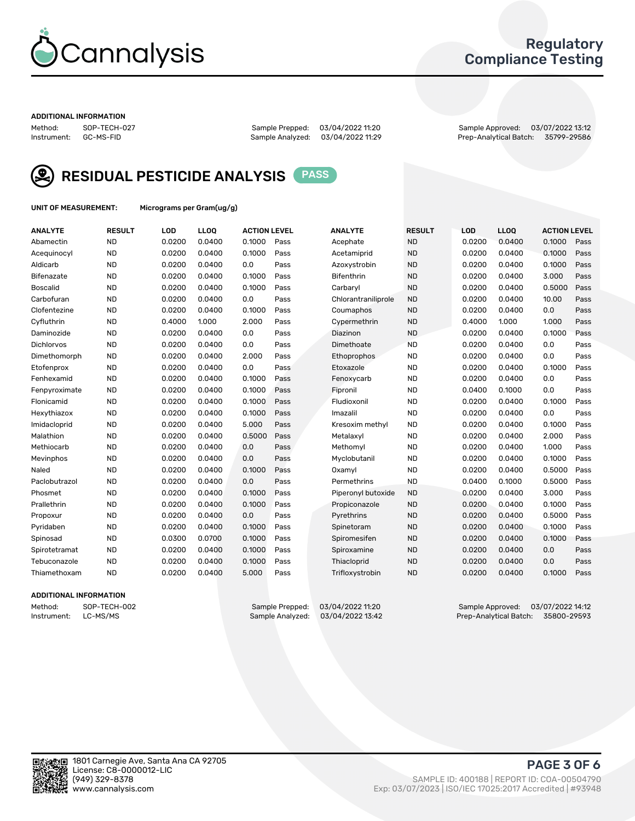

## Regulatory Compliance Testing

#### ADDITIONAL INFORMATION

Method: SOP-TECH-027 Sample Prepped: 03/04/2022 11:20 Sample Approved: 03/07/2022 13:12 Prep-Analytical Batch: 35799-29586



RESIDUAL PESTICIDE ANALYSIS PASS

UNIT OF MEASUREMENT: Micrograms per Gram(ug/g)

| <b>ANALYTE</b>    | <b>RESULT</b> | LOD    | LLOQ   | <b>ACTION LEVEL</b> |      | <b>ANALYTE</b>      | <b>RESULT</b> | LOD    | <b>LLOQ</b> | <b>ACTION LEVEL</b> |      |
|-------------------|---------------|--------|--------|---------------------|------|---------------------|---------------|--------|-------------|---------------------|------|
| Abamectin         | <b>ND</b>     | 0.0200 | 0.0400 | 0.1000              | Pass | Acephate            | <b>ND</b>     | 0.0200 | 0.0400      | 0.1000              | Pass |
| Acequinocyl       | <b>ND</b>     | 0.0200 | 0.0400 | 0.1000              | Pass | Acetamiprid         | <b>ND</b>     | 0.0200 | 0.0400      | 0.1000              | Pass |
| Aldicarb          | <b>ND</b>     | 0.0200 | 0.0400 | 0.0                 | Pass | Azoxystrobin        | <b>ND</b>     | 0.0200 | 0.0400      | 0.1000              | Pass |
| Bifenazate        | <b>ND</b>     | 0.0200 | 0.0400 | 0.1000              | Pass | <b>Bifenthrin</b>   | <b>ND</b>     | 0.0200 | 0.0400      | 3.000               | Pass |
| <b>Boscalid</b>   | <b>ND</b>     | 0.0200 | 0.0400 | 0.1000              | Pass | Carbaryl            | <b>ND</b>     | 0.0200 | 0.0400      | 0.5000              | Pass |
| Carbofuran        | <b>ND</b>     | 0.0200 | 0.0400 | 0.0                 | Pass | Chlorantraniliprole | <b>ND</b>     | 0.0200 | 0.0400      | 10.00               | Pass |
| Clofentezine      | <b>ND</b>     | 0.0200 | 0.0400 | 0.1000              | Pass | Coumaphos           | <b>ND</b>     | 0.0200 | 0.0400      | 0.0                 | Pass |
| Cyfluthrin        | <b>ND</b>     | 0.4000 | 1.000  | 2.000               | Pass | Cypermethrin        | <b>ND</b>     | 0.4000 | 1.000       | 1.000               | Pass |
| Daminozide        | <b>ND</b>     | 0.0200 | 0.0400 | 0.0                 | Pass | Diazinon            | <b>ND</b>     | 0.0200 | 0.0400      | 0.1000              | Pass |
| <b>Dichlorvos</b> | <b>ND</b>     | 0.0200 | 0.0400 | 0.0                 | Pass | Dimethoate          | <b>ND</b>     | 0.0200 | 0.0400      | 0.0                 | Pass |
| Dimethomorph      | <b>ND</b>     | 0.0200 | 0.0400 | 2.000               | Pass | <b>Ethoprophos</b>  | <b>ND</b>     | 0.0200 | 0.0400      | 0.0                 | Pass |
| Etofenprox        | <b>ND</b>     | 0.0200 | 0.0400 | 0.0                 | Pass | Etoxazole           | <b>ND</b>     | 0.0200 | 0.0400      | 0.1000              | Pass |
| Fenhexamid        | <b>ND</b>     | 0.0200 | 0.0400 | 0.1000              | Pass | Fenoxycarb          | <b>ND</b>     | 0.0200 | 0.0400      | 0.0                 | Pass |
| Fenpyroximate     | <b>ND</b>     | 0.0200 | 0.0400 | 0.1000              | Pass | Fipronil            | <b>ND</b>     | 0.0400 | 0.1000      | 0.0                 | Pass |
| Flonicamid        | <b>ND</b>     | 0.0200 | 0.0400 | 0.1000              | Pass | Fludioxonil         | <b>ND</b>     | 0.0200 | 0.0400      | 0.1000              | Pass |
| Hexythiazox       | <b>ND</b>     | 0.0200 | 0.0400 | 0.1000              | Pass | Imazalil            | <b>ND</b>     | 0.0200 | 0.0400      | 0.0                 | Pass |
| Imidacloprid      | <b>ND</b>     | 0.0200 | 0.0400 | 5.000               | Pass | Kresoxim methyl     | <b>ND</b>     | 0.0200 | 0.0400      | 0.1000              | Pass |
| Malathion         | <b>ND</b>     | 0.0200 | 0.0400 | 0.5000              | Pass | Metalaxyl           | <b>ND</b>     | 0.0200 | 0.0400      | 2.000               | Pass |
| Methiocarb        | <b>ND</b>     | 0.0200 | 0.0400 | 0.0                 | Pass | Methomyl            | <b>ND</b>     | 0.0200 | 0.0400      | 1.000               | Pass |
| Mevinphos         | <b>ND</b>     | 0.0200 | 0.0400 | 0.0                 | Pass | Myclobutanil        | <b>ND</b>     | 0.0200 | 0.0400      | 0.1000              | Pass |
| Naled             | <b>ND</b>     | 0.0200 | 0.0400 | 0.1000              | Pass | Oxamyl              | <b>ND</b>     | 0.0200 | 0.0400      | 0.5000              | Pass |
| Paclobutrazol     | <b>ND</b>     | 0.0200 | 0.0400 | 0.0                 | Pass | Permethrins         | <b>ND</b>     | 0.0400 | 0.1000      | 0.5000              | Pass |
| Phosmet           | <b>ND</b>     | 0.0200 | 0.0400 | 0.1000              | Pass | Piperonyl butoxide  | <b>ND</b>     | 0.0200 | 0.0400      | 3.000               | Pass |
| Prallethrin       | <b>ND</b>     | 0.0200 | 0.0400 | 0.1000              | Pass | Propiconazole       | <b>ND</b>     | 0.0200 | 0.0400      | 0.1000              | Pass |
| Propoxur          | <b>ND</b>     | 0.0200 | 0.0400 | 0.0                 | Pass | Pyrethrins          | <b>ND</b>     | 0.0200 | 0.0400      | 0.5000              | Pass |
| Pyridaben         | <b>ND</b>     | 0.0200 | 0.0400 | 0.1000              | Pass | Spinetoram          | <b>ND</b>     | 0.0200 | 0.0400      | 0.1000              | Pass |
| Spinosad          | <b>ND</b>     | 0.0300 | 0.0700 | 0.1000              | Pass | Spiromesifen        | <b>ND</b>     | 0.0200 | 0.0400      | 0.1000              | Pass |
| Spirotetramat     | <b>ND</b>     | 0.0200 | 0.0400 | 0.1000              | Pass | Spiroxamine         | <b>ND</b>     | 0.0200 | 0.0400      | 0.0                 | Pass |
| Tebuconazole      | <b>ND</b>     | 0.0200 | 0.0400 | 0.1000              | Pass | Thiacloprid         | <b>ND</b>     | 0.0200 | 0.0400      | 0.0                 | Pass |
| Thiamethoxam      | <b>ND</b>     | 0.0200 | 0.0400 | 5.000               | Pass | Trifloxystrobin     | <b>ND</b>     | 0.0200 | 0.0400      | 0.1000              | Pass |

## ADDITIONAL INFORMATION

Method: SOP-TECH-002 Sample Prepped: 03/04/2022 11:20 Sample Approved: 03/07/2022 14:12 Prep-Analytical Batch: 35800-29593

PAGE 3 OF 6

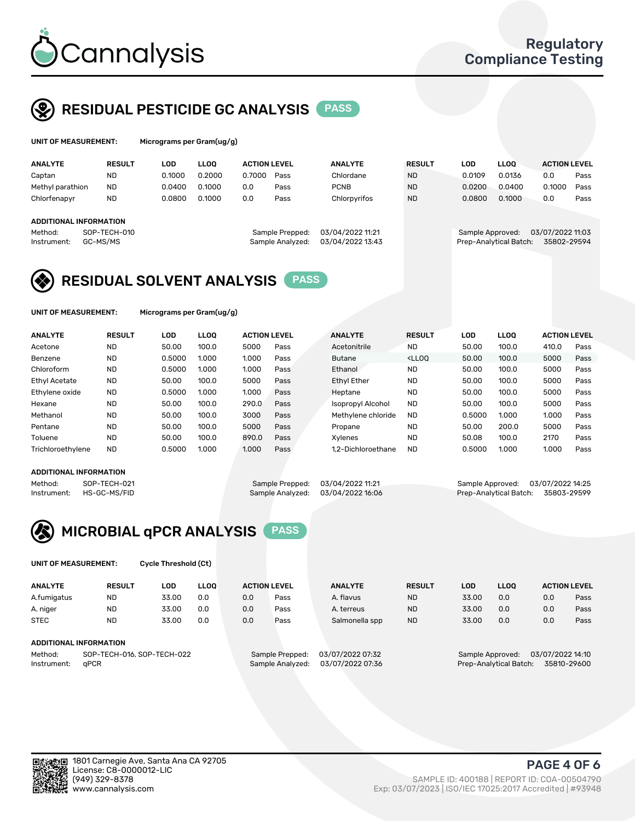

## RESIDUAL PESTICIDE GC ANALYSIS PASS

| UNIT OF MEASUREMENT: |                        |        | Micrograms per Gram(ug/g) |                     |                  |                  |               |            |                        |                     |      |  |  |  |
|----------------------|------------------------|--------|---------------------------|---------------------|------------------|------------------|---------------|------------|------------------------|---------------------|------|--|--|--|
| <b>ANALYTE</b>       | <b>RESULT</b>          | LOD    | <b>LLOO</b>               | <b>ACTION LEVEL</b> |                  | <b>ANALYTE</b>   | <b>RESULT</b> | <b>LOD</b> | <b>LLOO</b>            | <b>ACTION LEVEL</b> |      |  |  |  |
| Captan               | <b>ND</b>              | 0.1000 | 0.2000                    | 0.7000              | Pass             | Chlordane        | <b>ND</b>     | 0.0109     | 0.0136                 | 0.0                 | Pass |  |  |  |
| Methyl parathion     | <b>ND</b>              | 0.0400 | 0.1000                    | 0.0                 | Pass             | <b>PCNB</b>      | <b>ND</b>     | 0.0200     | 0.0400                 | 0.1000              | Pass |  |  |  |
| Chlorfenapyr         | <b>ND</b>              | 0.0800 | 0.1000                    | 0.0                 | Pass             | Chlorpyrifos     | <b>ND</b>     | 0.0800     | 0.1000                 | 0.0                 | Pass |  |  |  |
|                      | ADDITIONAL INFORMATION |        |                           |                     |                  |                  |               |            |                        |                     |      |  |  |  |
| Method:              | SOP-TECH-010           |        |                           |                     | Sample Prepped:  | 03/04/2022 11:21 |               |            | Sample Approved:       | 03/07/2022 11:03    |      |  |  |  |
| Instrument:          | GC-MS/MS               |        |                           |                     | Sample Analyzed: | 03/04/2022 13:43 |               |            | Prep-Analytical Batch: | 35802-29594         |      |  |  |  |

## RESIDUAL SOLVENT ANALYSIS PASS

UNIT OF MEASUREMENT: Micrograms per Gram(ug/g)

| <b>ANALYTE</b>       | <b>RESULT</b> | <b>LOD</b> | <b>LLOO</b> | <b>ACTION LEVEL</b> |      | <b>ANALYTE</b>           | <b>RESULT</b>                                                               | LOD    | <b>LLOO</b> | <b>ACTION LEVEL</b> |      |
|----------------------|---------------|------------|-------------|---------------------|------|--------------------------|-----------------------------------------------------------------------------|--------|-------------|---------------------|------|
| Acetone              | <b>ND</b>     | 50.00      | 100.0       | 5000                | Pass | Acetonitrile             | <b>ND</b>                                                                   | 50.00  | 100.0       | 410.0               | Pass |
| Benzene              | <b>ND</b>     | 0.5000     | 1.000       | 1.000               | Pass | <b>Butane</b>            | <lloo< td=""><td>50.00</td><td>100.0</td><td>5000</td><td>Pass</td></lloo<> | 50.00  | 100.0       | 5000                | Pass |
| Chloroform           | <b>ND</b>     | 0.5000     | 1.000       | 1.000               | Pass | Ethanol                  | <b>ND</b>                                                                   | 50.00  | 100.0       | 5000                | Pass |
| <b>Ethyl Acetate</b> | <b>ND</b>     | 50.00      | 100.0       | 5000                | Pass | <b>Ethyl Ether</b>       | <b>ND</b>                                                                   | 50.00  | 100.0       | 5000                | Pass |
| Ethylene oxide       | <b>ND</b>     | 0.5000     | 1.000       | 1.000               | Pass | Heptane                  | <b>ND</b>                                                                   | 50.00  | 100.0       | 5000                | Pass |
| Hexane               | <b>ND</b>     | 50.00      | 100.0       | 290.0               | Pass | <b>Isopropyl Alcohol</b> | <b>ND</b>                                                                   | 50.00  | 100.0       | 5000                | Pass |
| Methanol             | <b>ND</b>     | 50.00      | 100.0       | 3000                | Pass | Methylene chloride       | <b>ND</b>                                                                   | 0.5000 | 1.000       | 1.000               | Pass |
| Pentane              | <b>ND</b>     | 50.00      | 100.0       | 5000                | Pass | Propane                  | <b>ND</b>                                                                   | 50.00  | 200.0       | 5000                | Pass |
| Toluene              | <b>ND</b>     | 50.00      | 100.0       | 890.0               | Pass | Xvlenes                  | <b>ND</b>                                                                   | 50.08  | 100.0       | 2170                | Pass |
| Trichloroethylene    | <b>ND</b>     | 0.5000     | 1.000       | 1.000               | Pass | 1.2-Dichloroethane       | <b>ND</b>                                                                   | 0.5000 | 1.000       | 1.000               | Pass |

### ADDITIONAL INFORMATION

Method: SOP-TECH-021 Sample Prepped: 03/04/2022 11:21 Sample Approved: 03/07/2022 14:25<br>Instrument: HS-GC-MS/FID Sample Analyzed: 03/04/2022 16:06 Prep-Analytical Batch: 35803-29599

Prep-Analytical Batch: 35803-29599



UNIT OF MEASUREMENT: Cycle Threshold (Ct)

| <b>ANALYTE</b>                        | <b>RESULT</b>          | LOD   | <b>LLOO</b> |                  | <b>ACTION LEVEL</b> | <b>ANALYTE</b> | <b>RESULT</b> | <b>LOD</b>                           | <b>LLOO</b> |             | <b>ACTION LEVEL</b> |
|---------------------------------------|------------------------|-------|-------------|------------------|---------------------|----------------|---------------|--------------------------------------|-------------|-------------|---------------------|
| A.fumigatus                           | <b>ND</b>              | 33.00 | 0.0         | 0.0              | Pass                | A. flavus      | <b>ND</b>     | 33.00                                | 0.0         | 0.0         | Pass                |
| A. niger                              | <b>ND</b>              | 33.00 | 0.0         | 0.0              | Pass                | A. terreus     | <b>ND</b>     | 33.00                                | 0.0         | 0.0         | Pass                |
| <b>STEC</b>                           | <b>ND</b>              | 33.00 | 0.0         | 0.0              | Pass                | Salmonella spp | <b>ND</b>     | 33.00                                | 0.0         | 0.0         | Pass                |
|                                       | ADDITIONAL INFORMATION |       |             |                  |                     |                |               |                                      |             |             |                     |
| SOP-TECH-016, SOP-TECH-022<br>Method: |                        |       |             | Sample Prepped:  | 03/07/2022 07:32    |                |               | 03/07/2022 14:10<br>Sample Approved: |             |             |                     |
| aPCR<br>Instrument:                   |                        |       |             | Sample Analyzed: | 03/07/2022 07:36    |                |               | Prep-Analytical Batch:               |             | 35810-29600 |                     |

yΠ

PAGE 4 OF 6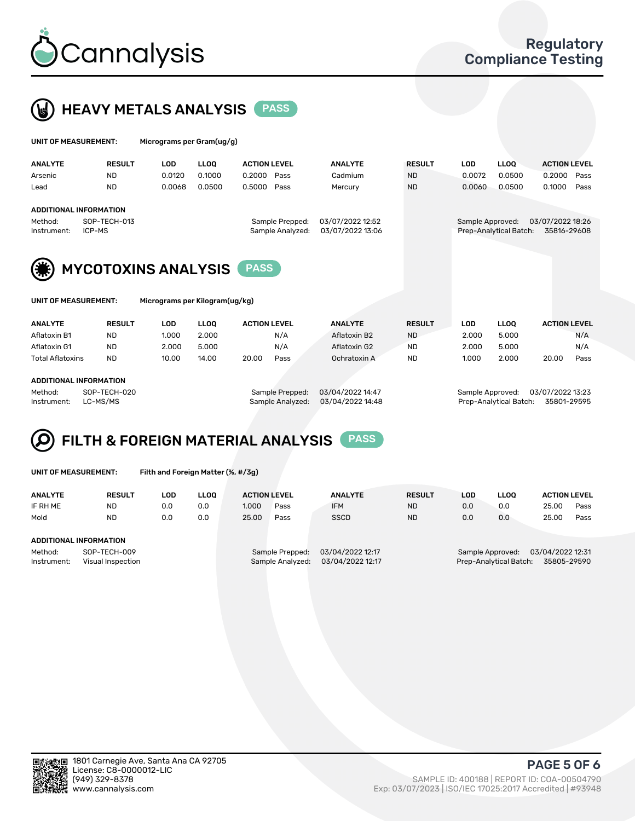



| UNIT OF MEASUREMENT:   |                               | Micrograms per Gram(ug/g) |             |                     |                                     |                                      |               |                  |                        |                                 |      |
|------------------------|-------------------------------|---------------------------|-------------|---------------------|-------------------------------------|--------------------------------------|---------------|------------------|------------------------|---------------------------------|------|
| <b>ANALYTE</b>         | <b>RESULT</b>                 | LOD                       | <b>LLOO</b> | <b>ACTION LEVEL</b> |                                     | <b>ANALYTE</b>                       | <b>RESULT</b> | LOD.             | <b>LLOO</b>            | <b>ACTION LEVEL</b>             |      |
| Arsenic                | <b>ND</b>                     | 0.0120                    | 0.1000      | 0.2000              | Pass                                | Cadmium                              | <b>ND</b>     | 0.0072           | 0.0500                 | 0.2000                          | Pass |
| Lead                   | <b>ND</b>                     | 0.0068                    | 0.0500      | 0.5000              | Pass                                | Mercury                              | <b>ND</b>     | 0.0060           | 0.0500                 | 0.1000                          | Pass |
|                        | <b>ADDITIONAL INFORMATION</b> |                           |             |                     |                                     |                                      |               |                  |                        |                                 |      |
| Method:<br>Instrument: | SOP-TECH-013<br>ICP-MS        |                           |             |                     | Sample Prepped:<br>Sample Analyzed: | 03/07/2022 12:52<br>03/07/2022 13:06 |               | Sample Approved: | Prep-Analytical Batch: | 03/07/2022 18:26<br>35816-29608 |      |
| (楽)                    | <b>MYCOTOXINS ANALYSIS</b>    |                           |             | <b>PASS</b>         |                                     |                                      |               |                  |                        |                                 |      |



UNIT OF MEASUREMENT: Micrograms per Kilogram(ug/kg)

| <b>ANALYTE</b>          | <b>RESULT</b> | LOD   | <b>LLOO</b> | <b>ACTION LEVEL</b> |      | <b>ANALYTE</b> | <b>RESULT</b> | LOD.  | <b>LLOO</b> | <b>ACTION LEVEL</b> |      |
|-------------------------|---------------|-------|-------------|---------------------|------|----------------|---------------|-------|-------------|---------------------|------|
| Aflatoxin B1            | <b>ND</b>     | 1.000 | 2.000       |                     | N/A  | Aflatoxin B2   | <b>ND</b>     | 2.000 | 5.000       |                     | N/A  |
| Aflatoxin G1            | <b>ND</b>     | 2.000 | 5.000       |                     | N/A  | Aflatoxin G2   | <b>ND</b>     | 2.000 | 5.000       |                     | N/A  |
| <b>Total Aflatoxins</b> | <b>ND</b>     | 10.00 | 14.00       | 20.00               | Pass | Ochratoxin A   | <b>ND</b>     | 1.000 | 2.000       | 20.00               | Pass |
|                         |               |       |             |                     |      |                |               |       |             |                     |      |
| ADDITIONAL INFORMATION  |               |       |             |                     |      |                |               |       |             |                     |      |

#### ADDITIONAL INFORMATION

Method: SOP-TECH-020 Sample Prepped: 03/04/2022 14:47 Sample Approved: 03/07/2022 13:23 Instrument: LC-MS/MS Sample Analyzed: 03/04/2022 14:48 Prep-Analytical Batch: 35801-29595

# FILTH & FOREIGN MATERIAL ANALYSIS PASS

UNIT OF MEASUREMENT: Filth and Foreign Matter (%, #/3g)

| <b>ANALYTE</b>                                              | <b>RESULT</b> | LOD | <b>LLOO</b> | <b>ACTION LEVEL</b> |                                     | <b>ANALYTE</b>                       | <b>RESULT</b>                                                                 | LOD | LLOO | <b>ACTION LEVEL</b> |      |
|-------------------------------------------------------------|---------------|-----|-------------|---------------------|-------------------------------------|--------------------------------------|-------------------------------------------------------------------------------|-----|------|---------------------|------|
| IF RH ME                                                    | <b>ND</b>     | 0.0 | 0.0         | 1.000               | Pass                                | <b>IFM</b>                           | <b>ND</b>                                                                     | 0.0 | 0.0  | 25.00               | Pass |
| Mold                                                        | <b>ND</b>     | 0.0 | 0.0         | 25.00               | Pass                                | <b>SSCD</b>                          | <b>ND</b>                                                                     | 0.0 | 0.0  | 25.00               | Pass |
| ADDITIONAL INFORMATION                                      |               |     |             |                     |                                     |                                      |                                                                               |     |      |                     |      |
| Method:<br>SOP-TECH-009<br>Instrument:<br>Visual Inspection |               |     |             |                     | Sample Prepped:<br>Sample Analyzed: | 03/04/2022 12:17<br>03/04/2022 12:17 | 03/04/2022 12:31<br>Sample Approved:<br>Prep-Analytical Batch:<br>35805-29590 |     |      |                     |      |



PAGE 5 OF 6